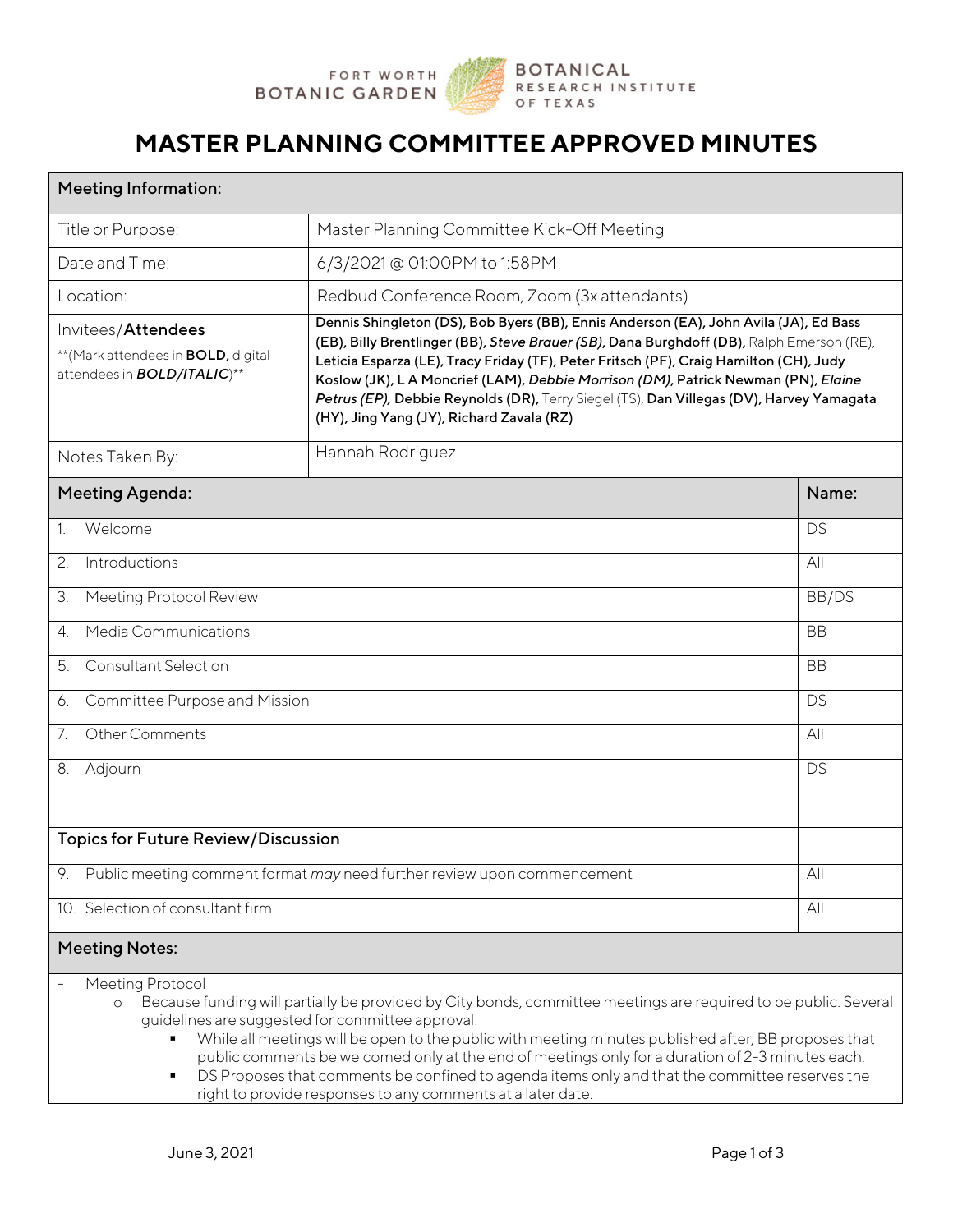

### **MASTER PLANNING COMMITTEE APPROVED MINUTES**

| <b>Meeting Information:</b>                                                                              |                                                                                                                                                                                                                                                                                                                                                                                                                                                                                                             |           |  |
|----------------------------------------------------------------------------------------------------------|-------------------------------------------------------------------------------------------------------------------------------------------------------------------------------------------------------------------------------------------------------------------------------------------------------------------------------------------------------------------------------------------------------------------------------------------------------------------------------------------------------------|-----------|--|
| Title or Purpose:                                                                                        | Master Planning Committee Kick-Off Meeting                                                                                                                                                                                                                                                                                                                                                                                                                                                                  |           |  |
| Date and Time:                                                                                           | 6/3/2021 @ 01:00PM to 1:58PM                                                                                                                                                                                                                                                                                                                                                                                                                                                                                |           |  |
| Location:                                                                                                | Redbud Conference Room, Zoom (3x attendants)                                                                                                                                                                                                                                                                                                                                                                                                                                                                |           |  |
| Invitees/Attendees<br>** (Mark attendees in <b>BOLD</b> , digital<br>attendees in <b>BOLD/ITALIC</b> )** | Dennis Shingleton (DS), Bob Byers (BB), Ennis Anderson (EA), John Avila (JA), Ed Bass<br>(EB), Billy Brentlinger (BB), Steve Brauer (SB), Dana Burghdoff (DB), Ralph Emerson (RE),<br>Leticia Esparza (LE), Tracy Friday (TF), Peter Fritsch (PF), Craig Hamilton (CH), Judy<br>Koslow (JK), L A Moncrief (LAM), Debbie Morrison (DM), Patrick Newman (PN), Elaine<br>Petrus (EP), Debbie Reynolds (DR), Terry Siegel (TS), Dan Villegas (DV), Harvey Yamagata<br>(HY), Jing Yang (JY), Richard Zavala (RZ) |           |  |
| Notes Taken By:                                                                                          | Hannah Rodriguez                                                                                                                                                                                                                                                                                                                                                                                                                                                                                            |           |  |
| <b>Meeting Agenda:</b>                                                                                   |                                                                                                                                                                                                                                                                                                                                                                                                                                                                                                             | Name:     |  |
| Welcome<br>$1_{\cdot}$                                                                                   |                                                                                                                                                                                                                                                                                                                                                                                                                                                                                                             | DS        |  |
| Introductions<br>2.                                                                                      |                                                                                                                                                                                                                                                                                                                                                                                                                                                                                                             | All       |  |
| Meeting Protocol Review<br>3.                                                                            |                                                                                                                                                                                                                                                                                                                                                                                                                                                                                                             | BB/DS     |  |
| <b>Media Communications</b><br>$\overline{4}$ .                                                          |                                                                                                                                                                                                                                                                                                                                                                                                                                                                                                             | <b>BB</b> |  |
| <b>Consultant Selection</b><br>5.                                                                        |                                                                                                                                                                                                                                                                                                                                                                                                                                                                                                             | <b>BB</b> |  |
| Committee Purpose and Mission<br>6.                                                                      |                                                                                                                                                                                                                                                                                                                                                                                                                                                                                                             | DS        |  |
| 7.<br><b>Other Comments</b>                                                                              |                                                                                                                                                                                                                                                                                                                                                                                                                                                                                                             | All       |  |
| 8. Adjourn                                                                                               |                                                                                                                                                                                                                                                                                                                                                                                                                                                                                                             | DS        |  |
| <b>Topics for Future Review/Discussion</b>                                                               |                                                                                                                                                                                                                                                                                                                                                                                                                                                                                                             |           |  |
| 9. Public meeting comment format may need further review upon commencement                               |                                                                                                                                                                                                                                                                                                                                                                                                                                                                                                             |           |  |
| 10. Selection of consultant firm                                                                         |                                                                                                                                                                                                                                                                                                                                                                                                                                                                                                             |           |  |
| <b>Meeting Notes:</b>                                                                                    |                                                                                                                                                                                                                                                                                                                                                                                                                                                                                                             |           |  |
| Meeting Protocol<br>$\circ$                                                                              | Because funding will partially be provided by City bonds, committee meetings are required to be public. Several<br>guidelines are suggested for committee approval:<br>While all meetings will be open to the public with meeting minutes published after, BB proposes that<br>public comments be welcomed only at the end of meetings only for a duration of 2-3 minutes each.                                                                                                                             |           |  |

**DS Proposes that comments be confined to agenda items only and that the committee reserves the** right to provide responses to any comments at a later date.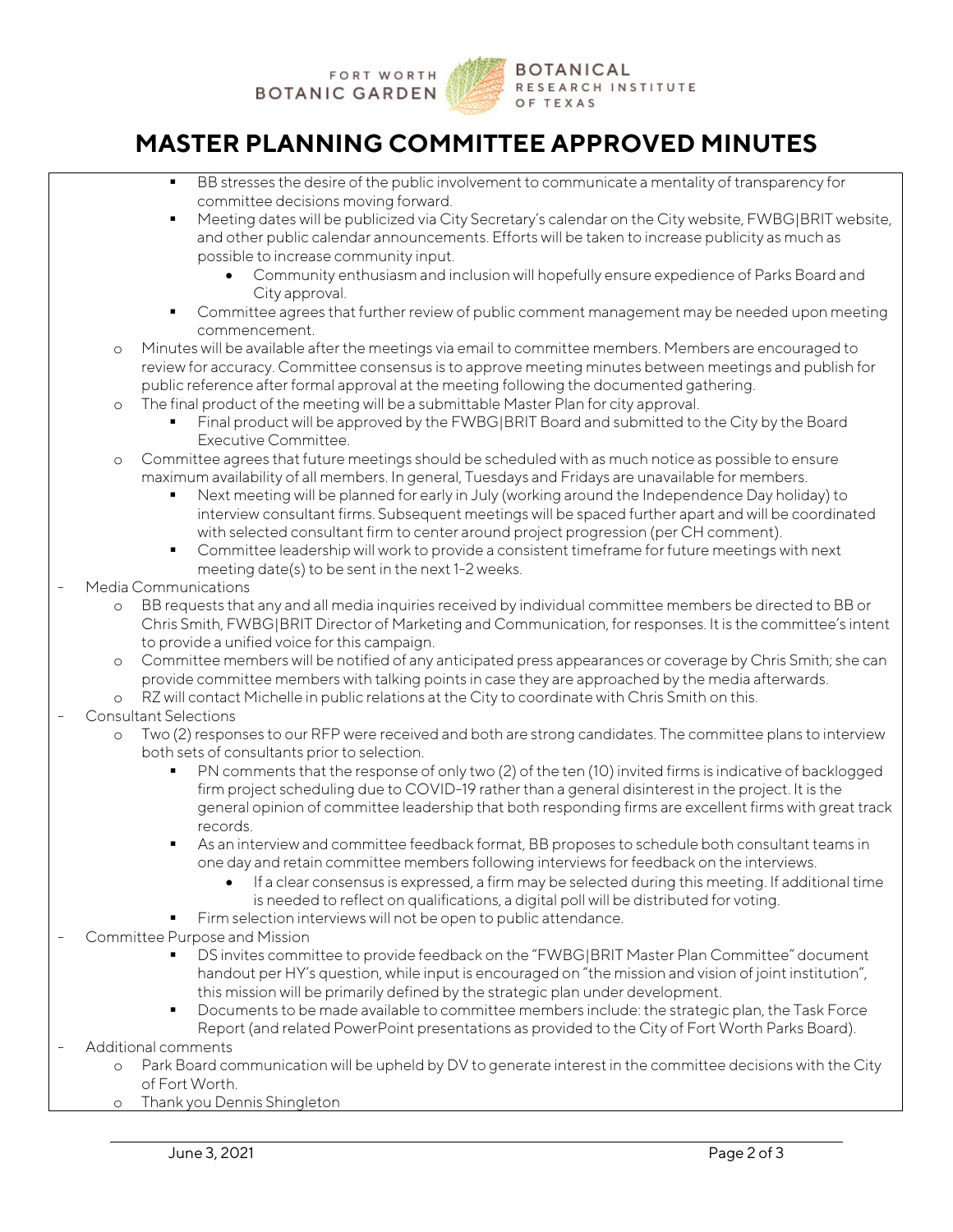

# **MASTER PLANNING COMMITTEE APPROVED MINUTES**

- BB stresses the desire of the public involvement to communicate a mentality of transparency for committee decisions moving forward.
- Meeting dates will be publicized via City Secretary's calendar on the City website, FWBG|BRIT website, and other public calendar announcements. Efforts will be taken to increase publicity as much as possible to increase community input.
	- Community enthusiasm and inclusion will hopefully ensure expedience of Parks Board and City approval.
- Committee agrees that further review of public comment management may be needed upon meeting commencement.
- o Minutes will be available after the meetings via email to committee members. Members are encouraged to review for accuracy. Committee consensus is to approve meeting minutes between meetings and publish for public reference after formal approval at the meeting following the documented gathering.
- o The final product of the meeting will be a submittable Master Plan for city approval.
	- Final product will be approved by the FWBG|BRIT Board and submitted to the City by the Board Executive Committee.
- o Committee agrees that future meetings should be scheduled with as much notice as possible to ensure maximum availability of all members. In general, Tuesdays and Fridays are unavailable for members.
	- Next meeting will be planned for early in July (working around the Independence Day holiday) to interview consultant firms. Subsequent meetings will be spaced further apart and will be coordinated with selected consultant firm to center around project progression (per CH comment).
	- Committee leadership will work to provide a consistent timeframe for future meetings with next meeting date(s) to be sent in the next 1-2 weeks.

#### Media Communications

- o BB requests that any and all media inquiries received by individual committee members be directed to BB or Chris Smith, FWBG|BRIT Director of Marketing and Communication, for responses. It is the committee's intent to provide a unified voice for this campaign.
- o Committee members will be notified of any anticipated press appearances or coverage by Chris Smith; she can provide committee members with talking points in case they are approached by the media afterwards.
- o RZ will contact Michelle in public relations at the City to coordinate with Chris Smith on this.

#### Consultant Selections

- o Two (2) responses to our RFP were received and both are strong candidates. The committee plans to interview both sets of consultants prior to selection.
	- PN comments that the response of only two (2) of the ten (10) invited firms is indicative of backlogged firm project scheduling due to COVID-19 rather than a general disinterest in the project. It is the general opinion of committee leadership that both responding firms are excellent firms with great track records.
	- As an interview and committee feedback format, BB proposes to schedule both consultant teams in one day and retain committee members following interviews for feedback on the interviews.
		- $\check{\phantom{\phi}}$  If a clear consensus is expressed, a firm may be selected during this meeting. If additional time is needed to reflect on qualifications, a digital poll will be distributed for voting.
	- Firm selection interviews will not be open to public attendance.
- Committee Purpose and Mission
	- DS invites committee to provide feedback on the "FWBG|BRIT Master Plan Committee" document handout per HY's question, while input is encouraged on "the mission and vision of joint institution", this mission will be primarily defined by the strategic plan under development.
	- Documents to be made available to committee members include: the strategic plan, the Task Force Report (and related PowerPoint presentations as provided to the City of Fort Worth Parks Board).
- Additional comments
	- o Park Board communication will be upheld by DV to generate interest in the committee decisions with the City of Fort Worth.
	- o Thank you Dennis Shingleton